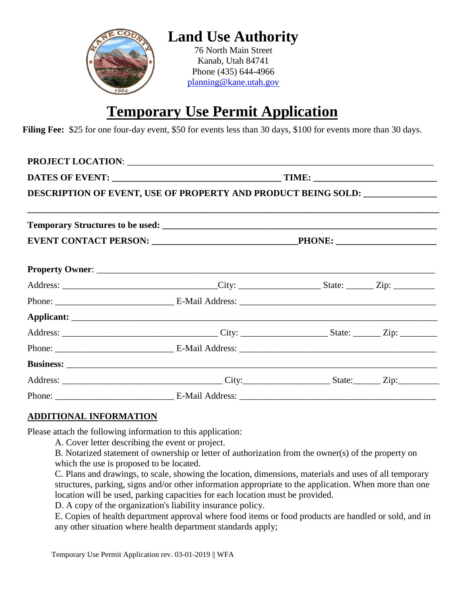

## **Temporary Use Permit Application**

**Filing Fee:** \$25 for one four-day event, \$50 for events less than 30 days, \$100 for events more than 30 days.

| DESCRIPTION OF EVENT, USE OF PROPERTY AND PRODUCT BEING SOLD: __________________ |  |  |  |  |  |
|----------------------------------------------------------------------------------|--|--|--|--|--|
|                                                                                  |  |  |  |  |  |
|                                                                                  |  |  |  |  |  |
|                                                                                  |  |  |  |  |  |
|                                                                                  |  |  |  |  |  |
|                                                                                  |  |  |  |  |  |
|                                                                                  |  |  |  |  |  |
|                                                                                  |  |  |  |  |  |
|                                                                                  |  |  |  |  |  |
|                                                                                  |  |  |  |  |  |
|                                                                                  |  |  |  |  |  |
|                                                                                  |  |  |  |  |  |

## **ADDITIONAL INFORMATION**

Please attach the following information to this application:

A. Cover letter describing the event or project.

B. Notarized statement of ownership or letter of authorization from the owner(s) of the property on which the use is proposed to be located.

C. Plans and drawings, to scale, showing the location, dimensions, materials and uses of all temporary structures, parking, signs and/or other information appropriate to the application. When more than one location will be used, parking capacities for each location must be provided.

D. A copy of the organization's liability insurance policy.

E. Copies of health department approval where food items or food products are handled or sold, and in any other situation where health department standards apply;

Temporary Use Permit Application rev. 03-01-2019 || WFA